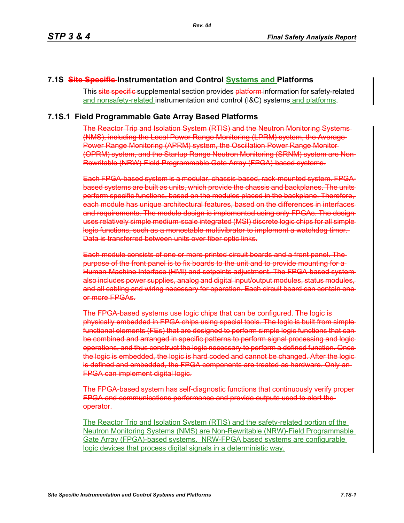### **7.1S Site Specific Instrumentation and Control Systems and Platforms**

This site specific supplemental section provides platform information for safety-related and nonsafety-related instrumentation and control (I&C) systems and platforms.

### **7.1S.1 Field Programmable Gate Array Based Platforms**

The Reactor Trip and Isolation System (RTIS) and the Neutron Monitoring Systems (NMS), including the Local Power Range Monitoring (LPRM) system, the Average Power Range Monitoring (APRM) system, the Oscillation Power Range Monitor (OPRM) system, and the Startup Range Neutron Monitoring (SRNM) system are Non-Rewritable (NRW)-Field Programmable Gate Array (FPGA)-based systems.

Each FPGA-based system is a modular, chassis-based, rack-mounted system. FPGAbased systems are built as units, which provide the chassis and backplanes. The units perform specific functions, based on the modules placed in the backplane. Therefore, each module has unique architectural features, based on the differences in interfaces and requirements. The module design is implemented using only FPGAs. The design uses relatively simple medium-scale integrated (MSI) discrete logic chips for all simple logic functions, such as a monostable multivibrator to implement a watchdog timer. Data is transferred between units over fiber optic links.

Each module consists of one or more printed circuit boards and a front panel. The purpose of the front panel is to fix boards to the unit and to provide mounting for a Human-Machine Interface (HMI) and setpoints adjustment. The FPGA-based systemalso includes power supplies, analog and digital input/output modules, status modules, and all cabling and wiring necessary for operation. Each circuit board can contain one or more FPGAs.

The FPGA-based systems use logic chips that can be configured. The logic is physically embedded in FPGA chips using special tools. The logic is built from simple functional elements (FEs) that are designed to perform simple logic functions that canbe combined and arranged in specific patterns to perform signal processing and logic operations, and thus construct the logic necessary to perform a defined function. Once the logic is embedded, the logic is hard coded and cannot be changed. After the logic is defined and embedded, the FPGA components are treated as hardware. Only an FPGA can implement digital logic.

The FPGA-based system has self-diagnostic functions that continuously verify proper FPGA and communications performance and provide outputs used to alert the operator.

The Reactor Trip and Isolation System (RTIS) and the safety-related portion of the Neutron Monitoring Systems (NMS) are Non-Rewritable (NRW)-Field Programmable Gate Array (FPGA)-based systems. NRW-FPGA based systems are configurable logic devices that process digital signals in a deterministic way.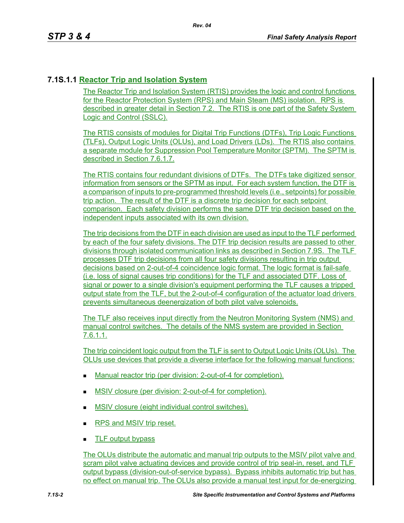# **7.1S.1.1 Reactor Trip and Isolation System**

The Reactor Trip and Isolation System (RTIS) provides the logic and control functions for the Reactor Protection System (RPS) and Main Steam (MS) isolation. RPS is described in greater detail in Section 7.2. The RTIS is one part of the Safety System Logic and Control (SSLC).

The RTIS consists of modules for Digital Trip Functions (DTFs), Trip Logic Functions (TLFs), Output Logic Units (OLUs), and Load Drivers (LDs). The RTIS also contains a separate module for Suppression Pool Temperature Monitor (SPTM). The SPTM is described in Section 7.6.1.7.

The RTIS contains four redundant divisions of DTFs. The DTFs take digitized sensor information from sensors or the SPTM as input. For each system function, the DTF is a comparison of inputs to pre-programmed threshold levels (i.e., setpoints) for possible trip action. The result of the DTF is a discrete trip decision for each setpoint comparison. Each safety division performs the same DTF trip decision based on the independent inputs associated with its own division.

The trip decisions from the DTF in each division are used as input to the TLF performed by each of the four safety divisions. The DTF trip decision results are passed to other divisions through isolated communication links as described in Section 7.9S. The TLF processes DTF trip decisions from all four safety divisions resulting in trip output decisions based on 2-out-of-4 coincidence logic format. The logic format is fail-safe (i.e. loss of signal causes trip conditions) for the TLF and associated DTF. Loss of signal or power to a single division's equipment performing the TLF causes a tripped output state from the TLF, but the 2-out-of-4 configuration of the actuator load drivers prevents simultaneous deenergization of both pilot valve solenoids.

The TLF also receives input directly from the Neutron Monitoring System (NMS) and manual control switches. The details of the NMS system are provided in Section 7.6.1.1.

The trip coincident logic output from the TLF is sent to Output Logic Units (OLUs). The OLUs use devices that provide a diverse interface for the following manual functions:

- Manual reactor trip (per division: 2-out-of-4 for completion).
- **MSIV** closure (per division: 2-out-of-4 for completion).
- MSIV closure (eight individual control switches).
- RPS and MSIV trip reset.
- **TLF output bypass**

The OLUs distribute the automatic and manual trip outputs to the MSIV pilot valve and scram pilot valve actuating devices and provide control of trip seal-in, reset, and TLF output bypass (division-out-of-service bypass). Bypass inhibits automatic trip but has no effect on manual trip. The OLUs also provide a manual test input for de-energizing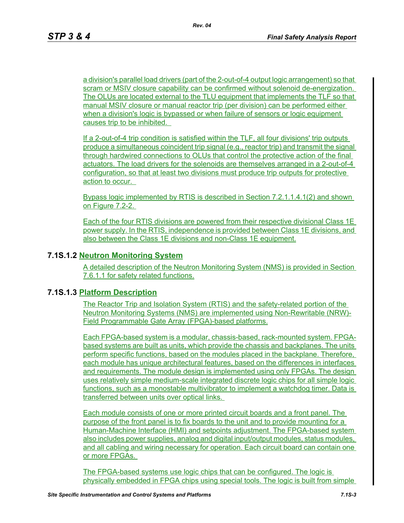a division's parallel load drivers (part of the 2-out-of-4 output logic arrangement) so that scram or MSIV closure capability can be confirmed without solenoid de-energization. The OLUs are located external to the TLU equipment that implements the TLF so that manual MSIV closure or manual reactor trip (per division) can be performed either when a division's logic is bypassed or when failure of sensors or logic equipment causes trip to be inhibited.

If a 2-out-of-4 trip condition is satisfied within the TLF, all four divisions' trip outputs produce a simultaneous coincident trip signal (e.g., reactor trip) and transmit the signal through hardwired connections to OLUs that control the protective action of the final actuators. The load drivers for the solenoids are themselves arranged in a 2-out-of-4 configuration, so that at least two divisions must produce trip outputs for protective action to occur.

Bypass logic implemented by RTIS is described in Section 7.2.1.1.4.1(2) and shown on Figure 7.2-2.

Each of the four RTIS divisions are powered from their respective divisional Class 1E power supply. In the RTIS, independence is provided between Class 1E divisions, and also between the Class 1E divisions and non-Class 1E equipment.

### **7.1S.1.2 Neutron Monitoring System**

A detailed description of the Neutron Monitoring System (NMS) is provided in Section 7.6.1.1 for safety related functions.

#### **7.1S.1.3 Platform Description**

The Reactor Trip and Isolation System (RTIS) and the safety-related portion of the Neutron Monitoring Systems (NMS) are implemented using Non-Rewritable (NRW)- Field Programmable Gate Array (FPGA)-based platforms.

Each FPGA-based system is a modular, chassis-based, rack-mounted system. FPGAbased systems are built as units, which provide the chassis and backplanes. The units perform specific functions, based on the modules placed in the backplane. Therefore, each module has unique architectural features, based on the differences in interfaces and requirements. The module design is implemented using only FPGAs. The design uses relatively simple medium-scale integrated discrete logic chips for all simple logic functions, such as a monostable multivibrator to implement a watchdog timer. Data is transferred between units over optical links.

Each module consists of one or more printed circuit boards and a front panel. The purpose of the front panel is to fix boards to the unit and to provide mounting for a Human-Machine Interface (HMI) and setpoints adjustment. The FPGA-based system also includes power supplies, analog and digital input/output modules, status modules, and all cabling and wiring necessary for operation. Each circuit board can contain one or more FPGAs.

The FPGA-based systems use logic chips that can be configured. The logic is physically embedded in FPGA chips using special tools. The logic is built from simple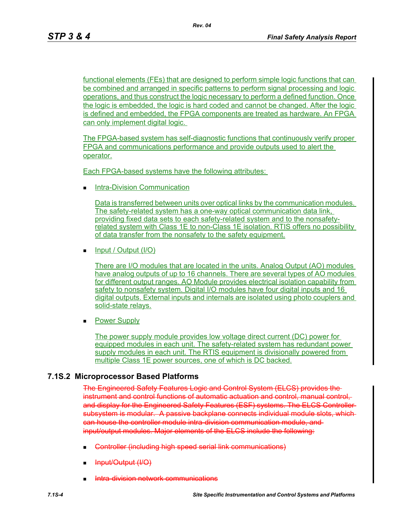*Rev. 04*

functional elements (FEs) that are designed to perform simple logic functions that can be combined and arranged in specific patterns to perform signal processing and logic operations, and thus construct the logic necessary to perform a defined function. Once the logic is embedded, the logic is hard coded and cannot be changed. After the logic is defined and embedded, the FPGA components are treated as hardware. An FPGA can only implement digital logic.

The FPGA-based system has self-diagnostic functions that continuously verify proper FPGA and communications performance and provide outputs used to alert the operator.

Each FPGA-based systems have the following attributes:

**Intra-Division Communication** 

Data is transferred between units over optical links by the communication modules. The safety-related system has a one-way optical communication data link, providing fixed data sets to each safety-related system and to the nonsafetyrelated system with Class 1E to non-Class 1E isolation. RTIS offers no possibility of data transfer from the nonsafety to the safety equipment.

 $\blacksquare$  Input / Output (I/O)

There are I/O modules that are located in the units. Analog Output (AO) modules have analog outputs of up to 16 channels. There are several types of AO modules for different output ranges. AO Module provides electrical isolation capability from safety to nonsafety system. Digital I/O modules have four digital inputs and 16 digital outputs. External inputs and internals are isolated using photo couplers and solid-state relays.

**Power Supply** 

The power supply module provides low voltage direct current (DC) power for equipped modules in each unit. The safety-related system has redundant power supply modules in each unit. The RTIS equipment is divisionally powered from multiple Class 1E power sources, one of which is DC backed.

### **7.1S.2 Microprocessor Based Platforms**

The Engineered Safety Features Logic and Control System (ELCS) provides the instrument and control functions of automatic actuation and control, manual control, and display for the Engineered Safety Features (ESF) systems. The ELCS Controller subsystem is modular. A passive backplane connects individual module slots, whichcan house the controller module intra-division communication module, and input/output modules. Major elements of the ELCS include the following:

- Controller (including high speed serial link communications)
- Input/Output (I/O)
- ntra-division network communications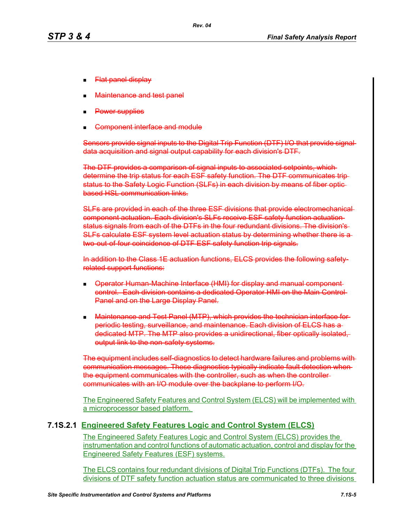- Flat panel display
- Maintenance and test panel
- Power supplies
- Component interface and module

Sensors provide signal inputs to the Digital Trip Function (DTF) I/O that provide signal data acquisition and signal output capability for each division's DTF.

The DTF provides a comparison of signal inputs to associated setpoints, which determine the trip status for each ESF safety function. The DTF communicates trip status to the Safety Logic Function (SLFs) in each division by means of fiber opticbased HSL communication links.

SLFs are provided in each of the three ESF divisions that provide electromechanical component actuation. Each division's SLFs receive ESF safety function actuation status signals from each of the DTFs in the four redundant divisions. The division's SLFs calculate ESF system level actuation status by determining whether there is a two-out-of-four coincidence of DTF ESF safety function trip signals.

In addition to the Class 1E actuation functions, ELCS provides the following safetyrelated support functions:

- **Devator Human-Machine Interface (HMI) for display and manual component**control. Each division contains a dedicated Operator HMI on the Main Control Panel and on the Large Display Panel.
- **Maintenance and Test Panel (MTP), which provides the technician interface for**periodic testing, surveillance, and maintenance. Each division of ELCS has a dedicated MTP. The MTP also provides a unidirectional, fiber optically isolated, output link to the non-safety systems.

The equipment includes self-diagnostics to detect hardware failures and problems with communication messages. These diagnostics typically indicate fault detection when the equipment communicates with the controller, such as when the controller communicates with an I/O module over the backplane to perform I/O.

The Engineered Safety Features and Control System (ELCS) will be implemented with a microprocessor based platform.

#### **7.1S.2.1 Engineered Safety Features Logic and Control System (ELCS)**

The Engineered Safety Features Logic and Control System (ELCS) provides the instrumentation and control functions of automatic actuation, control and display for the Engineered Safety Features (ESF) systems.

The ELCS contains four redundant divisions of Digital Trip Functions (DTFs). The four divisions of DTF safety function actuation status are communicated to three divisions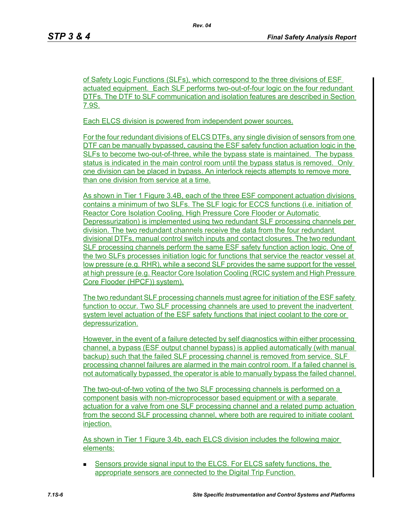of Safety Logic Functions (SLFs), which correspond to the three divisions of ESF actuated equipment. Each SLF performs two-out-of-four logic on the four redundant DTFs. The DTF to SLF communication and isolation features are described in Section 7.9S.

*Rev. 04*

Each ELCS division is powered from independent power sources.

For the four redundant divisions of ELCS DTFs, any single division of sensors from one DTF can be manually bypassed, causing the ESF safety function actuation logic in the SLFs to become two-out-of-three, while the bypass state is maintained. The bypass status is indicated in the main control room until the bypass status is removed. Only one division can be placed in bypass. An interlock rejects attempts to remove more than one division from service at a time.

As shown in Tier 1 Figure 3.4B, each of the three ESF component actuation divisions contains a minimum of two SLFs. The SLF logic for ECCS functions (i.e. initiation of Reactor Core Isolation Cooling, High Pressure Core Flooder or Automatic Depressurization) is implemented using two redundant SLF processing channels per division. The two redundant channels receive the data from the four redundant divisional DTFs, manual control switch inputs and contact closures. The two redundant SLF processing channels perform the same ESF safety function action logic. One of the two SLFs processes initiation logic for functions that service the reactor vessel at low pressure (e.g. RHR), while a second SLF provides the same support for the vessel at high pressure (e.g. Reactor Core Isolation Cooling (RCIC system and High Pressure Core Flooder (HPCF)) system).

The two redundant SLF processing channels must agree for initiation of the ESF safety function to occur. Two SLF processing channels are used to prevent the inadvertent system level actuation of the ESF safety functions that inject coolant to the core or depressurization.

However, in the event of a failure detected by self diagnostics within either processing channel, a bypass (ESF output channel bypass) is applied automatically (with manual backup) such that the failed SLF processing channel is removed from service. SLF processing channel failures are alarmed in the main control room. If a failed channel is not automatically bypassed, the operator is able to manually bypass the failed channel.

The two-out-of-two voting of the two SLF processing channels is performed on a component basis with non-microprocessor based equipment or with a separate actuation for a valve from one SLF processing channel and a related pump actuation from the second SLF processing channel, where both are required to initiate coolant injection.

As shown in Tier 1 Figure 3.4b, each ELCS division includes the following major elements:

**EXECT** Sensors provide signal input to the ELCS. For ELCS safety functions, the appropriate sensors are connected to the Digital Trip Function.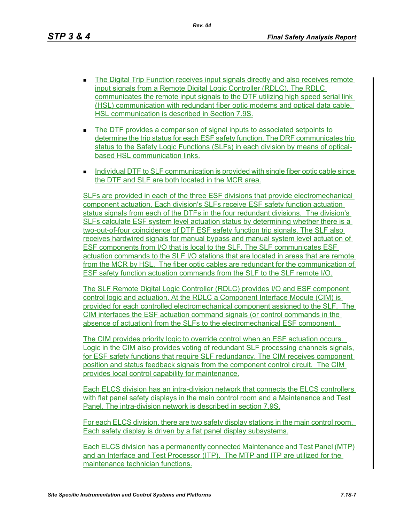*Rev. 04*

- **The Digital Trip Function receives input signals directly and also receives remote** input signals from a Remote Digital Logic Controller (RDLC). The RDLC communicates the remote input signals to the DTF utilizing high speed serial link (HSL) communication with redundant fiber optic modems and optical data cable. HSL communication is described in Section 7.9S.
- The DTF provides a comparison of signal inputs to associated setpoints to determine the trip status for each ESF safety function. The DRF communicates trip status to the Safety Logic Functions (SLFs) in each division by means of opticalbased HSL communication links.
- **Individual DTF to SLF communication is provided with single fiber optic cable since** the DTF and SLF are both located in the MCR area.

SLFs are provided in each of the three ESF divisions that provide electromechanical component actuation. Each division's SLFs receive ESF safety function actuation status signals from each of the DTFs in the four redundant divisions. The division's SLFs calculate ESF system level actuation status by determining whether there is a two-out-of-four coincidence of DTF ESF safety function trip signals. The SLF also receives hardwired signals for manual bypass and manual system level actuation of ESF components from I/O that is local to the SLF. The SLF communicates ESF actuation commands to the SLF I/O stations that are located in areas that are remote from the MCR by HSL. The fiber optic cables are redundant for the communication of ESF safety function actuation commands from the SLF to the SLF remote I/O.

The SLF Remote Digital Logic Controller (RDLC) provides I/O and ESF component control logic and actuation. At the RDLC a Component Interface Module (CIM) is provided for each controlled electromechanical component assigned to the SLF. The CIM interfaces the ESF actuation command signals (or control commands in the absence of actuation) from the SLFs to the electromechanical ESF component.

The CIM provides priority logic to override control when an ESF actuation occurs. Logic in the CIM also provides voting of redundant SLF processing channels signals, for ESF safety functions that require SLF redundancy. The CIM receives component position and status feedback signals from the component control circuit. The CIM provides local control capability for maintenance.

Each ELCS division has an intra-division network that connects the ELCS controllers with flat panel safety displays in the main control room and a Maintenance and Test Panel. The intra-division network is described in section 7.9S.

For each ELCS division, there are two safety display stations in the main control room. Each safety display is driven by a flat panel display subsystems.

Each ELCS division has a permanently connected Maintenance and Test Panel (MTP) and an Interface and Test Processor (ITP). The MTP and ITP are utilized for the maintenance technician functions.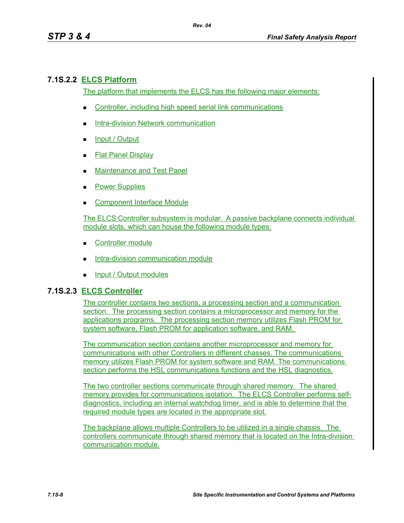## **7.1S.2.2 ELCS Platform**

The platform that implements the ELCS has the following major elements:

- Controller, including high speed serial link communications
- Intra-division Network communication
- **Input / Output**
- **Flat Panel Display**
- **Maintenance and Test Panel**
- **Power Supplies**
- Component Interface Module

The ELCS Controller subsystem is modular. A passive backplane connects individual module slots, which can house the following module types:

- Controller module
- **Intra-division communication module**
- $\blacksquare$  Input / Output modules

### **7.1S.2.3 ELCS Controller**

The controller contains two sections, a processing section and a communication section. The processing section contains a microprocessor and memory for the applications programs. The processing section memory utilizes Flash PROM for system software, Flash PROM for application software, and RAM.

The communication section contains another microprocessor and memory for communications with other Controllers in different chasses. The communications memory utilizes Flash PROM for system software and RAM. The communications section performs the HSL communications functions and the HSL diagnostics.

The two controller sections communicate through shared memory. The shared memory provides for communications isolation. The ELCS Controller performs selfdiagnostics, including an internal watchdog timer, and is able to determine that the required module types are located in the appropriate slot.

The backplane allows multiple Controllers to be utilized in a single chassis. The controllers communicate through shared memory that is located on the Intra-division communication module.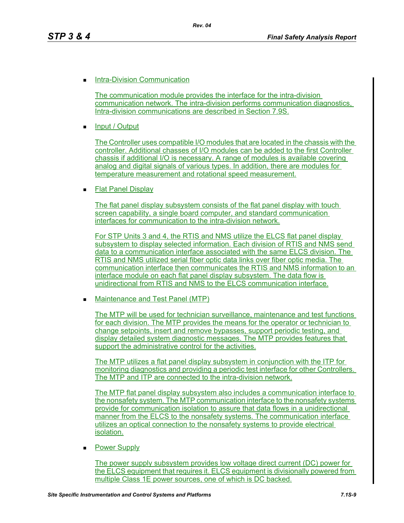#### **Intra-Division Communication**

The communication module provides the interface for the intra-division communication network. The intra-division performs communication diagnostics, Intra-division communications are described in Section 7.9S.

*Rev. 04*

Input / Output

The Controller uses compatible I/O modules that are located in the chassis with the controller. Additional chasses of I/O modules can be added to the first Controller chassis if additional I/O is necessary. A range of modules is available covering analog and digital signals of various types. In addition, there are modules for temperature measurement and rotational speed measurement.

Flat Panel Display

The flat panel display subsystem consists of the flat panel display with touch screen capability, a single board computer, and standard communication interfaces for communication to the intra-division network.

For STP Units 3 and 4, the RTIS and NMS utilize the ELCS flat panel display subsystem to display selected information. Each division of RTIS and NMS send data to a communication interface associated with the same ELCS division. The RTIS and NMS utilized serial fiber optic data links over fiber optic media. The communication interface then communicates the RTIS and NMS information to an interface module on each flat panel display subsystem. The data flow is unidirectional from RTIS and NMS to the ELCS communication interface.

■ Maintenance and Test Panel (MTP)

The MTP will be used for technician surveillance, maintenance and test functions for each division. The MTP provides the means for the operator or technician to change setpoints, insert and remove bypasses, support periodic testing, and display detailed system diagnostic messages. The MTP provides features that support the administrative control for the activities.

The MTP utilizes a flat panel display subsystem in conjunction with the ITP for monitoring diagnostics and providing a periodic test interface for other Controllers. The MTP and ITP are connected to the intra-division network.

The MTP flat panel display subsystem also includes a communication interface to the nonsafety system. The MTP communication interface to the nonsafety systems provide for communication isolation to assure that data flows in a unidirectional manner from the ELCS to the nonsafety systems. The communication interface utilizes an optical connection to the nonsafety systems to provide electrical isolation.

Power Supply

The power supply subsystem provides low voltage direct current (DC) power for the ELCS equipment that requires it. ELCS equipment is divisionally powered from multiple Class 1E power sources, one of which is DC backed.